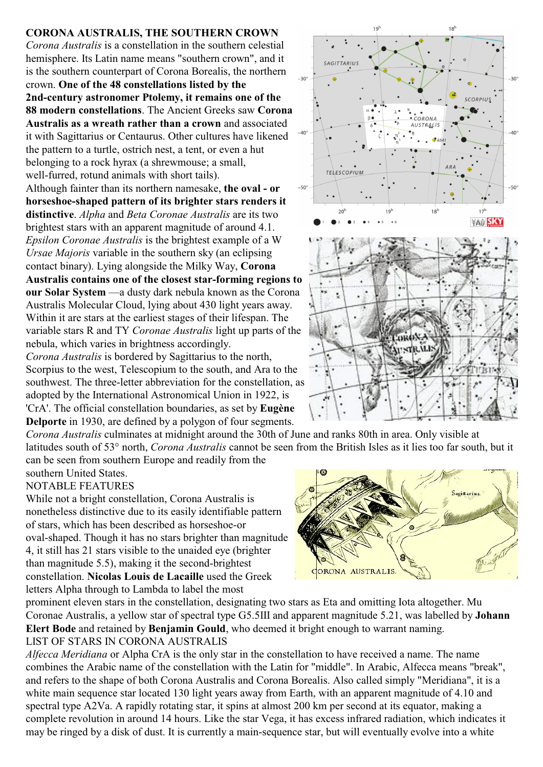## **CORONA AUSTRALIS, THE SOUTHERN CROWN**

*Corona Australis* is a constellation in the southern celestial hemisphere. Its Latin name means "southern crown", and it is the southern counterpart of Corona Borealis, the northern crown. **One of the 48 constellations listed by the 2nd-century astronomer Ptolemy, it remains one of the 88 modern constellations**. The Ancient Greeks saw **Corona Australis as a wreath rather than a crown** and associated it with Sagittarius or Centaurus. Other cultures have likened the pattern to a turtle, ostrich nest, a tent, or even a hut belonging to a rock hyrax (a shrewmouse; a small, well-furred, rotund animals with short tails). Although fainter than its northern namesake, **the oval - or horseshoe-shaped pattern of its brighter stars renders it distinctive**. *Alpha* and *Beta Coronae Australis* are its two brightest stars with an apparent magnitude of around 4.1. *Epsilon Coronae Australis* is the brightest example of a W *Ursae Majoris* variable in the southern sky (an eclipsing contact binary). Lying alongside the Milky Way, **Corona Australis contains one of the closest star-forming regions to our Solar System** —a dusty dark nebula known as the Corona Australis Molecular Cloud, lying about 430 light years away. Within it are stars at the earliest stages of their lifespan. The

variable stars R and TY *Coronae Australis* light up parts of the nebula, which varies in brightness accordingly.

*Corona Australis* is bordered by Sagittarius to the north, Scorpius to the west, Telescopium to the south, and Ara to the southwest. The three-letter abbreviation for the constellation, as adopted by the International Astronomical Union in 1922, is 'CrA'. The official constellation boundaries, as set by **Eugène Delporte** in 1930, are defined by a polygon of four segments.

*Corona Australis* culminates at midnight around the 30th of June and ranks 80th in area. Only visible at latitudes south of 53° north, *Corona Australis* cannot be seen from the British Isles as it lies too far south, but it can be seen from southern Europe and readily from the

southern United States. NOTABLE FEATURES

While not a bright constellation, Corona Australis is nonetheless distinctive due to its easily identifiable pattern of stars, which has been described as horseshoe-or oval-shaped. Though it has no stars brighter than magnitude 4, it still has 21 stars visible to the unaided eye (brighter than magnitude 5.5), making it the second-brightest constellation. **Nicolas Louis de Lacaille** used the Greek letters Alpha through to Lambda to label the most

CORONA AUSTRALIS

prominent eleven stars in the constellation, designating two stars as Eta and omitting Iota altogether. Mu Coronae Australis, a yellow star of spectral type G5.5III and apparent magnitude 5.21, was labelled by **Johann Elert Bode** and retained by **Benjamin Gould**, who deemed it bright enough to warrant naming. LIST OF STARS IN CORONA AUSTRALIS

*Alfecca Meridiana* or Alpha CrA is the only star in the constellation to have received a name. The name combines the Arabic name of the constellation with the Latin for "middle". In Arabic, Alfecca means "break", and refers to the shape of both Corona Australis and Corona Borealis. Also called simply "Meridiana", it is a white main sequence star located 130 light years away from Earth, with an apparent magnitude of 4.10 and spectral type A2Va. A rapidly rotating star, it spins at almost 200 km per second at its equator, making a complete revolution in around 14 hours. Like the star Vega, it has excess infrared radiation, which indicates it may be ringed by a disk of dust. It is currently a main-sequence star, but will eventually evolve into a white





gittarius